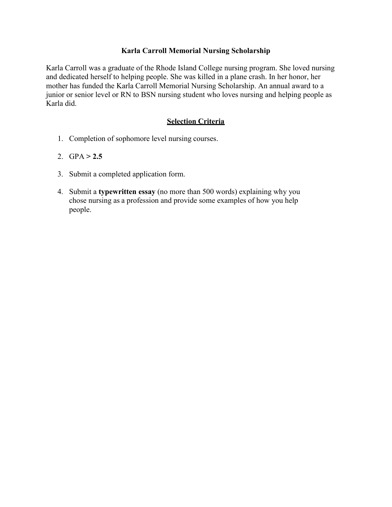## **Karla Carroll Memorial Nursing Scholarship**

Karla Carroll was a graduate of the Rhode Island College nursing program. She loved nursing and dedicated herself to helping people. She was killed in a plane crash. In her honor, her mother has funded the Karla Carroll Memorial Nursing Scholarship. An annual award to a junior or senior level or RN to BSN nursing student who loves nursing and helping people as Karla did.

## **Selection Criteria**

- 1. Completion of sophomore level nursing courses.
- 2.  $GPA > 2.5$
- 3. Submit a completed application form.
- 4. Submit a **typewritten essay** (no more than 500 words) explaining why you chose nursing as a profession and provide some examples of how you help people.